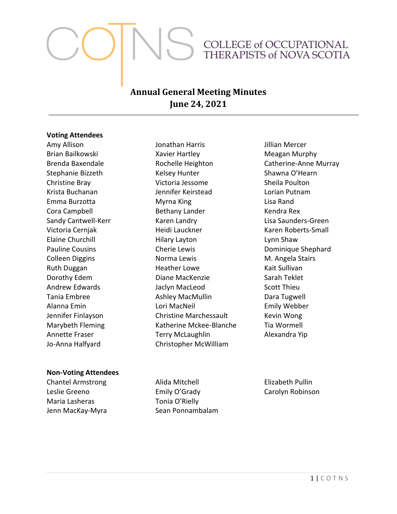# COLLEGE of OCCUPATIONAL THERAPISTS of NOVA SCOTIA

# **Annual General Meeting Minutes June 24, 2021**

#### **Voting Attendees**

Amy Allison Brian Bailkowski Brenda Baxendale Stephanie Bizzeth Christine Bray Krista Buchanan Emma Burzotta Cora Campbell Sandy Cantwell-Kerr Victoria Cernjak Elaine Churchill Pauline Cousins Colleen Diggins Ruth Duggan Dorothy Edem Andrew Edwards Tania Embree Alanna Emin Jennifer Finlayson Marybeth Fleming Annette Fraser Jo-Anna Halfyard

Jonathan Harris Xavier Hartley Rochelle Heighton Kelsey Hunter Victoria Jessome Jennifer Keirstead Myrna King Bethany Lander Karen Landry Heidi Lauckner Hilary Layton Cherie Lewis Norma Lewis Heather Lowe Diane MacKenzie Jaclyn MacLeod Ashley MacMullin Lori MacNeil Christine Marchessault Katherine Mckee-Blanche Terry McLaughlin Christopher McWilliam

Jillian Mercer Meagan Murphy Catherine-Anne Murray Shawna O'Hearn Sheila Poulton Lorian Putnam Lisa Rand Kendra Rex Lisa Saunders-Green Karen Roberts-Small Lynn Shaw Dominique Shephard M. Angela Stairs Kait Sullivan Sarah Teklet Scott Thieu Dara Tugwell Emily Webber Kevin Wong Tia Wormell Alexandra Yip

#### **Non-Voting Attendees**

Chantel Armstrong Leslie Greeno Maria Lasheras Jenn MacKay-Myra

Alida Mitchell Emily O'Grady Tonia O'Rielly Sean Ponnambalam

Elizabeth Pullin Carolyn Robinson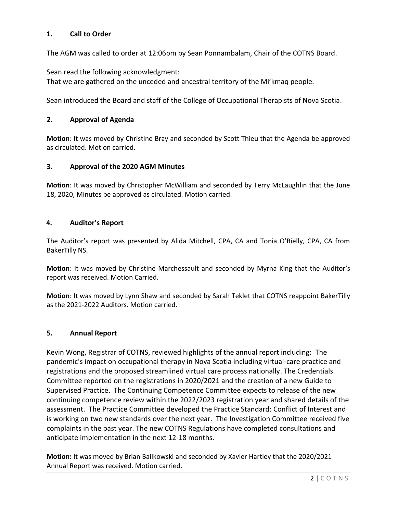## **1. Call to Order**

The AGM was called to order at 12:06pm by Sean Ponnambalam, Chair of the COTNS Board.

Sean read the following acknowledgment:

That we are gathered on the unceded and ancestral territory of the Mi'kmaq people.

Sean introduced the Board and staff of the College of Occupational Therapists of Nova Scotia.

#### **2. Approval of Agenda**

**Motion**: It was moved by Christine Bray and seconded by Scott Thieu that the Agenda be approved as circulated. Motion carried.

#### **3. Approval of the 2020 AGM Minutes**

**Motion**: It was moved by Christopher McWilliam and seconded by Terry McLaughlin that the June 18, 2020, Minutes be approved as circulated. Motion carried.

#### **4. Auditor's Report**

The Auditor's report was presented by Alida Mitchell, CPA, CA and Tonia O'Rielly, CPA, CA from BakerTilly NS.

**Motion**: It was moved by Christine Marchessault and seconded by Myrna King that the Auditor's report was received. Motion Carried.

**Motion**: It was moved by Lynn Shaw and seconded by Sarah Teklet that COTNS reappoint BakerTilly as the 2021-2022 Auditors. Motion carried.

#### **5. Annual Report**

Kevin Wong, Registrar of COTNS, reviewed highlights of the annual report including: The pandemic's impact on occupational therapy in Nova Scotia including virtual-care practice and registrations and the proposed streamlined virtual care process nationally. The Credentials Committee reported on the registrations in 2020/2021 and the creation of a new Guide to Supervised Practice. The Continuing Competence Committee expects to release of the new continuing competence review within the 2022/2023 registration year and shared details of the assessment. The Practice Committee developed the Practice Standard: Conflict of Interest and is working on two new standards over the next year. The Investigation Committee received five complaints in the past year. The new COTNS Regulations have completed consultations and anticipate implementation in the next 12-18 months.

**Motion:** It was moved by Brian Bailkowski and seconded by Xavier Hartley that the 2020/2021 Annual Report was received. Motion carried.